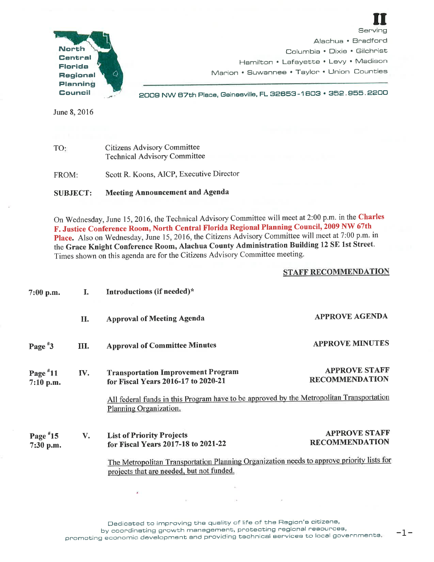

Serving Alachua • Bradford Columbia • Dixie • Gilchrist Hamilton • Lafayette • Levy • Madison Marion • Suwannee • Taylor • Union Counties

**II** 

June 8, 2016

. \_,. - <sup>2008</sup>NW B7th Place, Gainesville, FL 32653-1 603 • 352. <sup>955</sup> . <sup>2200</sup>

TO: FROM: Citizens Advisory Committee Technical Advisory Committee Scott R. Koons, AICP, Executive Director

## SUBJECT: Meeting Announcement and Agenda

On Wednesday, June 15, 2016, the Technical Advisory Committee will meet at 2:00 p.m. in the Charles F. Justice Conference Room, North Central Florida Regional Planning Council, 2009 NW 67th Place. Also on Wednesday, June 15, 2016, the Citizens Advisory Committee will meet at 7:00 p.m. in the Grace Knight Conference Room, Alachua County Administration Building <sup>12</sup>SE 1st Street. Times shown on this agenda are for the Citizens Advisory Committee meeting.

## STAFF RECOMMENDATION

| $7:00$ p.m.               | Т.  | Introductions (if needed)*                                                                                                                                                                                        |                                               |
|---------------------------|-----|-------------------------------------------------------------------------------------------------------------------------------------------------------------------------------------------------------------------|-----------------------------------------------|
|                           | П.  | <b>Approval of Meeting Agenda</b>                                                                                                                                                                                 | <b>APPROVE AGENDA</b>                         |
| Page $*3$                 | Ш.  | <b>Approval of Committee Minutes</b>                                                                                                                                                                              | <b>APPROVE MINUTES</b>                        |
| Page $*11$<br>$7:10$ p.m. | IV. | <b>Transportation Improvement Program</b><br>for Fiscal Years 2016-17 to 2020-21<br>All federal funds in this Program have to be approved by the Metropolitan Transportation<br>Planning Organization.            | <b>APPROVE STAFF</b><br><b>RECOMMENDATION</b> |
| Page $*15$<br>7:30 p.m.   | V.  | <b>List of Priority Projects</b><br>for Fiscal Years 2017-18 to 2021-22<br>The Metropolitan Transportation Planning Organization needs to approve priority lists for<br>projects that are needed, but not funded. | <b>APPROVE STAFF</b><br><b>RECOMMENDATION</b> |